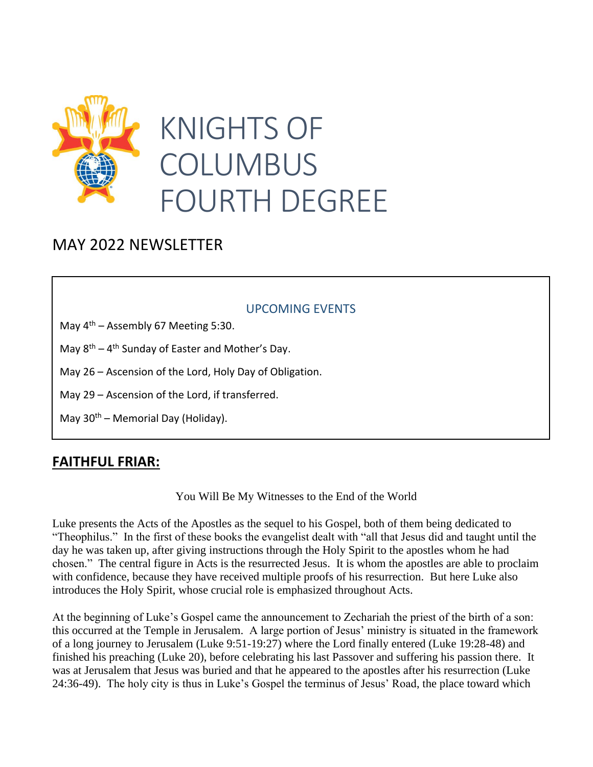

# KNIGHTS OF COLUMBUS FOURTH DEGREE

ASSEMBLY 0067

### MAY 2022 NEWSLETTER **JOHN TEAM**

#### UPCOMING EVENTS

May  $4<sup>th</sup>$  – Assembly 67 Meeting 5:30.

**January 2020**<br>
2020<br>
2020<br>
2020<br>
2020<br>
2020<br>
2020 May 8<sup>th</sup> – 4<sup>th</sup> Sunday of Easter and Mother's Day.

May 26 – Ascension of the Lord, Holy Day of Obligation.

May 29 – Ascension of the Lord, if transferred.

May  $30<sup>th</sup>$  – Memorial Day (Holiday).

#### **FAITHFUL FRIAR:**

You Will Be My Witnesses to the End of the World

Luke presents the Acts of the Apostles as the sequel to his Gospel, both of them being dedicated to "Theophilus." In the first of these books the evangelist dealt with "all that Jesus did and taught until the day he was taken up, after giving instructions through the Holy Spirit to the apostles whom he had .chosen." The central figure in Acts is the resurrected Jesus. It is whom the apostles are able to proclaim with confidence, because they have received multiple proofs of his resurrection. But here Luke also introduces the Holy Spirit, whose crucial role is emphasized throughout Acts.

At the beginning of Luke's Gospel came the announcement to Zechariah the priest of the birth of a son: this occurred at the Temple in Jerusalem. A large portion of Jesus' ministry is situated in the framework of a long journey to Jerusalem (Luke 9:51-19:27) where the Lord finally entered (Luke 19:28-48) and finished his preaching (Luke 20), before celebrating his last Passover and suffering his passion there. It was at Jerusalem that Jesus was buried and that he appeared to the apostles after his resurrection (Luke 24:36-49). The holy city is thus in Luke's Gospel the terminus of Jesus' Road, the place toward which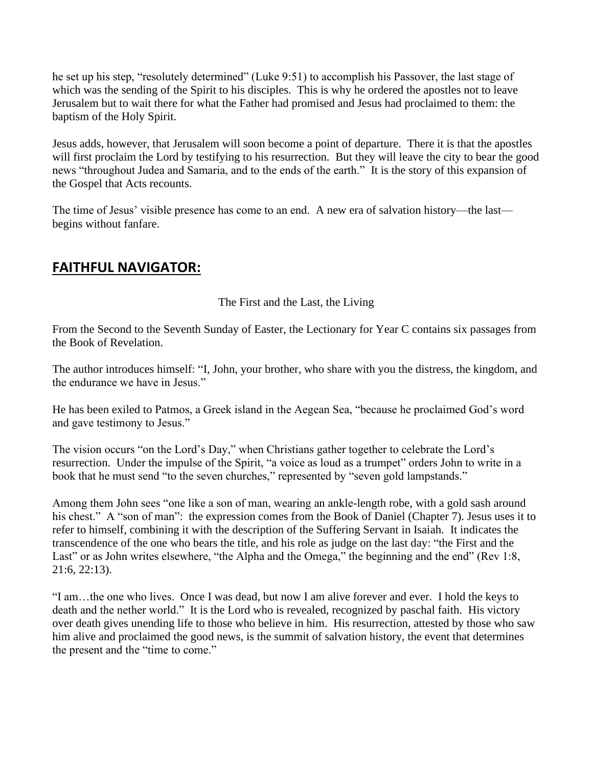he set up his step, "resolutely determined" (Luke 9:51) to accomplish his Passover, the last stage of which was the sending of the Spirit to his disciples. This is why he ordered the apostles not to leave Jerusalem but to wait there for what the Father had promised and Jesus had proclaimed to them: the baptism of the Holy Spirit.

Jesus adds, however, that Jerusalem will soon become a point of departure. There it is that the apostles will first proclaim the Lord by testifying to his resurrection. But they will leave the city to bear the good news "throughout Judea and Samaria, and to the ends of the earth." It is the story of this expansion of the Gospel that Acts recounts.

The time of Jesus' visible presence has come to an end. A new era of salvation history—the last begins without fanfare.

#### **FAITHFUL NAVIGATOR:**

#### The First and the Last, the Living

From the Second to the Seventh Sunday of Easter, the Lectionary for Year C contains six passages from the Book of Revelation.

The author introduces himself: "I, John, your brother, who share with you the distress, the kingdom, and the endurance we have in Jesus."

He has been exiled to Patmos, a Greek island in the Aegean Sea, "because he proclaimed God's word and gave testimony to Jesus."

The vision occurs "on the Lord's Day," when Christians gather together to celebrate the Lord's resurrection. Under the impulse of the Spirit, "a voice as loud as a trumpet" orders John to write in a book that he must send "to the seven churches," represented by "seven gold lampstands."

Among them John sees "one like a son of man, wearing an ankle-length robe, with a gold sash around his chest." A "son of man": the expression comes from the Book of Daniel (Chapter 7). Jesus uses it to refer to himself, combining it with the description of the Suffering Servant in Isaiah. It indicates the transcendence of the one who bears the title, and his role as judge on the last day: "the First and the Last" or as John writes elsewhere, "the Alpha and the Omega," the beginning and the end" (Rev 1:8, 21:6, 22:13).

"I am…the one who lives. Once I was dead, but now I am alive forever and ever. I hold the keys to death and the nether world." It is the Lord who is revealed, recognized by paschal faith. His victory over death gives unending life to those who believe in him. His resurrection, attested by those who saw him alive and proclaimed the good news, is the summit of salvation history, the event that determines the present and the "time to come."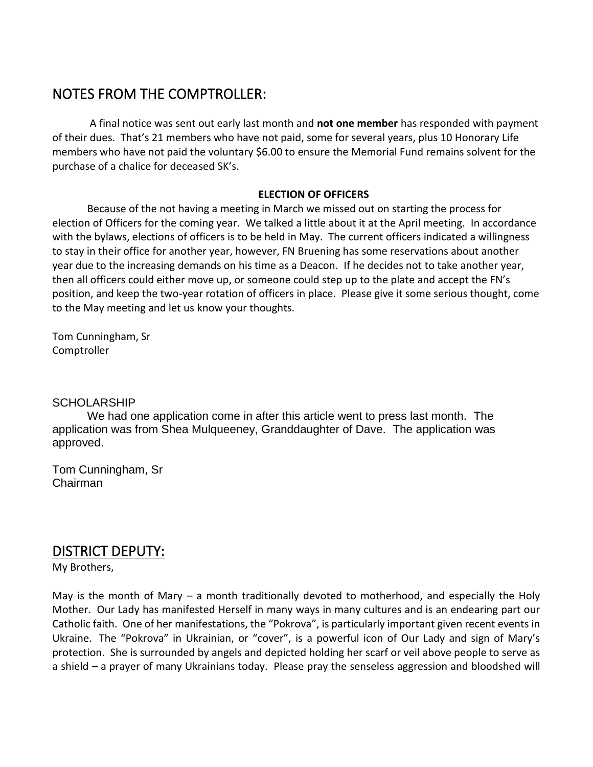#### NOTES FROM THE COMPTROLLER:

A final notice was sent out early last month and **not one member** has responded with payment of their dues. That's 21 members who have not paid, some for several years, plus 10 Honorary Life members who have not paid the voluntary \$6.00 to ensure the Memorial Fund remains solvent for the purchase of a chalice for deceased SK's.

#### **ELECTION OF OFFICERS**

Because of the not having a meeting in March we missed out on starting the process for election of Officers for the coming year. We talked a little about it at the April meeting. In accordance with the bylaws, elections of officers is to be held in May. The current officers indicated a willingness to stay in their office for another year, however, FN Bruening has some reservations about another year due to the increasing demands on his time as a Deacon. If he decides not to take another year, then all officers could either move up, or someone could step up to the plate and accept the FN's position, and keep the two-year rotation of officers in place. Please give it some serious thought, come to the May meeting and let us know your thoughts.

Tom Cunningham, Sr Comptroller

**SCHOLARSHIP** 

We had one application come in after this article went to press last month. The application was from Shea Mulqueeney, Granddaughter of Dave. The application was approved.

Tom Cunningham, Sr Chairman

#### DISTRICT DEPUTY:

My Brothers,

May is the month of Mary – a month traditionally devoted to motherhood, and especially the Holy Mother. Our Lady has manifested Herself in many ways in many cultures and is an endearing part our Catholic faith. One of her manifestations, the "Pokrova", is particularly important given recent events in Ukraine. The "Pokrova" in Ukrainian, or "cover", is a powerful icon of Our Lady and sign of Mary's protection. She is surrounded by angels and depicted holding her scarf or veil above people to serve as a shield – a prayer of many Ukrainians today. Please pray the senseless aggression and bloodshed will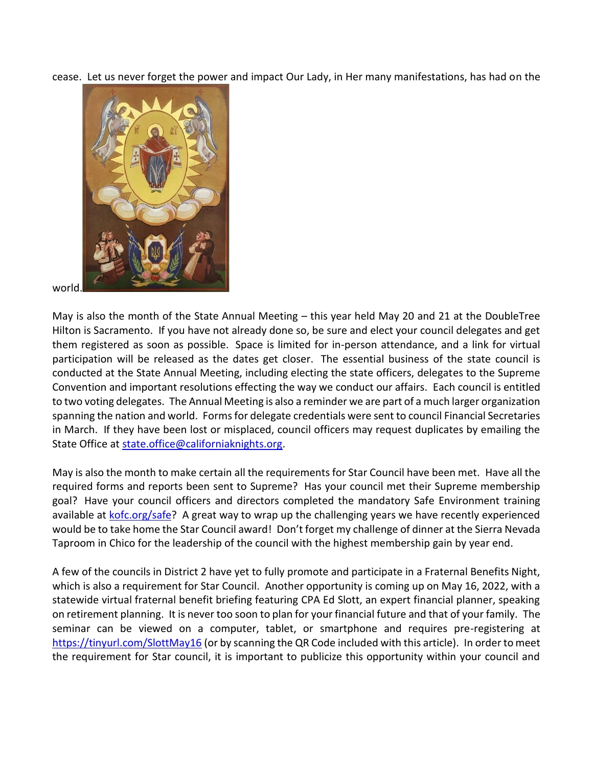cease. Let us never forget the power and impact Our Lady, in Her many manifestations, has had on the



world.

May is also the month of the State Annual Meeting – this year held May 20 and 21 at the DoubleTree Hilton is Sacramento. If you have not already done so, be sure and elect your council delegates and get them registered as soon as possible. Space is limited for in-person attendance, and a link for virtual participation will be released as the dates get closer. The essential business of the state council is conducted at the State Annual Meeting, including electing the state officers, delegates to the Supreme Convention and important resolutions effecting the way we conduct our affairs. Each council is entitled to two voting delegates. The Annual Meeting is also a reminder we are part of a much larger organization spanning the nation and world. Forms for delegate credentials were sent to council Financial Secretaries in March. If they have been lost or misplaced, council officers may request duplicates by emailing the State Office at [state.office@californiaknights.org.](mailto:state.office@californiaknights.org)

May is also the month to make certain all the requirements for Star Council have been met. Have all the required forms and reports been sent to Supreme? Has your council met their Supreme membership goal? Have your council officers and directors completed the mandatory Safe Environment training available at [kofc.org/safe?](https://www.kofc.org/safe) A great way to wrap up the challenging years we have recently experienced would be to take home the Star Council award! Don't forget my challenge of dinner at the Sierra Nevada Taproom in Chico for the leadership of the council with the highest membership gain by year end.

A few of the councils in District 2 have yet to fully promote and participate in a Fraternal Benefits Night, which is also a requirement for Star Council. Another opportunity is coming up on May 16, 2022, with a statewide virtual fraternal benefit briefing featuring CPA Ed Slott, an expert financial planner, speaking on retirement planning. It is never too soon to plan for your financial future and that of your family. The seminar can be viewed on a computer, tablet, or smartphone and requires pre-registering at <https://tinyurl.com/SlottMay16> (or by scanning the QR Code included with this article). In order to meet the requirement for Star council, it is important to publicize this opportunity within your council and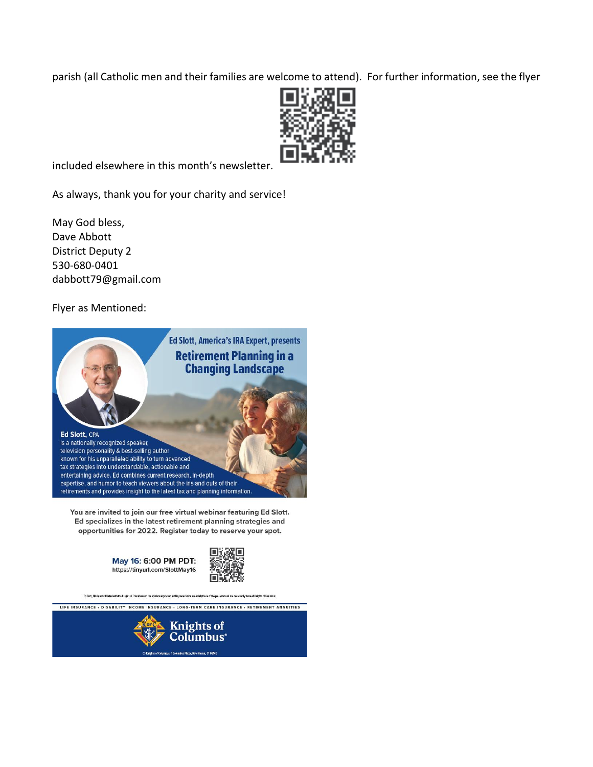parish (all Catholic men and their families are welcome to attend). For further information, see the flyer



included elsewhere in this month's newsletter.

As always, thank you for your charity and service!

May God bless, Dave Abbott District Deputy 2 530-680-0401 dabbott79@gmail.com

Flyer as Mentioned:



You are invited to join our free virtual webinar featuring Ed Slott. Ed specializes in the latest retirement planning strategies and opportunities for 2022. Register today to reserve your spot.

> May 16: 6:00 PM PDT: https://tinyurl.com/SlottMay16



Ed Slutt, CPA is not affiliated with the Kuights of Columbus and the opinions expressed in this presentation are solely those of the presenter and not n

LIFE INSURANCE - DISABILITY INCOME INSURANCE - LONG-TERM CARE INSURANCE - RETIREMENT ANNUITIES

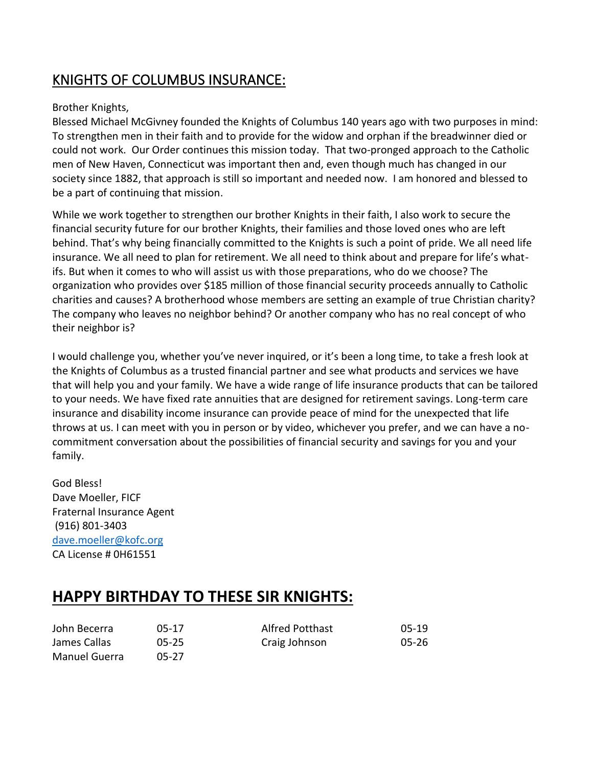## KNIGHTS OF COLUMBUS INSURANCE:

#### Brother Knights,

Blessed Michael McGivney founded the Knights of Columbus 140 years ago with two purposes in mind: To strengthen men in their faith and to provide for the widow and orphan if the breadwinner died or could not work. Our Order continues this mission today. That two-pronged approach to the Catholic men of New Haven, Connecticut was important then and, even though much has changed in our society since 1882, that approach is still so important and needed now. I am honored and blessed to be a part of continuing that mission.

While we work together to strengthen our brother Knights in their faith, I also work to secure the financial security future for our brother Knights, their families and those loved ones who are left behind. That's why being financially committed to the Knights is such a point of pride. We all need life insurance. We all need to plan for retirement. We all need to think about and prepare for life's whatifs. But when it comes to who will assist us with those preparations, who do we choose? The organization who provides over \$185 million of those financial security proceeds annually to Catholic charities and causes? A brotherhood whose members are setting an example of true Christian charity? The company who leaves no neighbor behind? Or another company who has no real concept of who their neighbor is?

I would challenge you, whether you've never inquired, or it's been a long time, to take a fresh look at the Knights of Columbus as a trusted financial partner and see what products and services we have that will help you and your family. We have a wide range of life insurance products that can be tailored to your needs. We have fixed rate annuities that are designed for retirement savings. Long-term care insurance and disability income insurance can provide peace of mind for the unexpected that life throws at us. I can meet with you in person or by video, whichever you prefer, and we can have a nocommitment conversation about the possibilities of financial security and savings for you and your family.

God Bless! Dave Moeller, FICF Fraternal Insurance Agent (916) 801-3403 [dave.moeller@kofc.org](mailto:dave.moeller@kofc.org) CA License # 0H61551

## **HAPPY BIRTHDAY TO THESE SIR KNIGHTS:**

| John Becerra  | $05-17$   | <b>Alfred Potthast</b> | $05-19$ |
|---------------|-----------|------------------------|---------|
| James Callas  | $05 - 25$ | Craig Johnson          | 05-26   |
| Manuel Guerra | 05-27     |                        |         |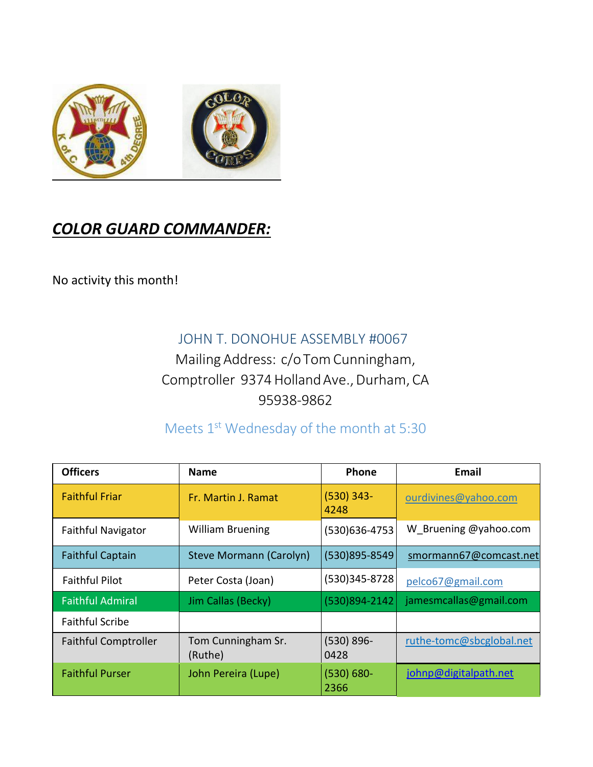

# *COLOR GUARD COMMANDER:*

No activity this month!

### JOHN T. DONOHUE ASSEMBLY #0067

Mailing Address: c/oTomCunningham, Comptroller 9374 Holland Ave., Durham, CA 95938-9862

## Meets 1st Wednesday of the month at 5:30

| <b>Officers</b>             | <b>Name</b>                   | Phone                 | Email                    |
|-----------------------------|-------------------------------|-----------------------|--------------------------|
| <b>Faithful Friar</b>       | Fr. Martin J. Ramat           | $(530)$ 343-<br>4248  | ourdivines@yahoo.com     |
| <b>Faithful Navigator</b>   | <b>William Bruening</b>       | (530)636-4753         | W Bruening @yahoo.com    |
| <b>Faithful Captain</b>     | Steve Mormann (Carolyn)       | (530)895-8549         | smormann67@comcast.net   |
| <b>Faithful Pilot</b>       | Peter Costa (Joan)            | (530)345-8728         | pelco67@gmail.com        |
| <b>Faithful Admiral</b>     | Jim Callas (Becky)            | (530)894-2142         | jamesmcallas@gmail.com   |
| <b>Faithful Scribe</b>      |                               |                       |                          |
| <b>Faithful Comptroller</b> | Tom Cunningham Sr.<br>(Ruthe) | $(530) 896 -$<br>0428 | ruthe-tomc@sbcglobal.net |
| <b>Faithful Purser</b>      | John Pereira (Lupe)           | $(530) 680 -$<br>2366 | johnp@digitalpath.net    |